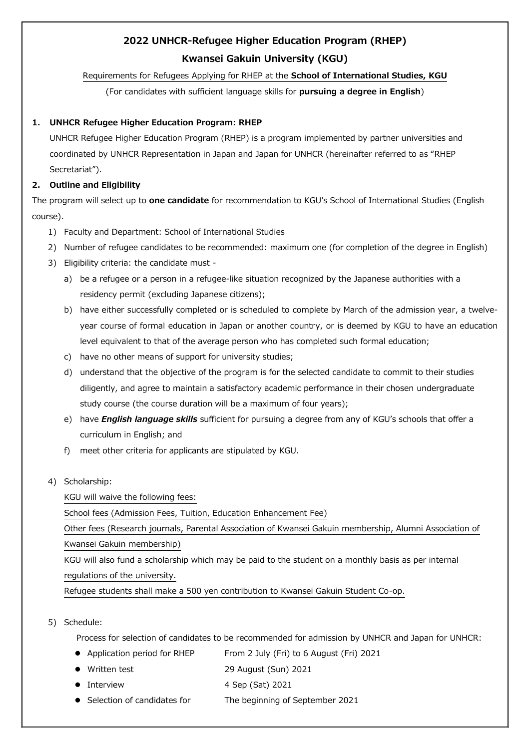# **2022 UNHCR-Refugee Higher Education Program (RHEP) Kwansei Gakuin University (KGU)**

# Requirements for Refugees Applying for RHEP at the **School of International Studies, KGU**

(For candidates with sufficient language skills for **pursuing a degree in English**)

# **1. UNHCR Refugee Higher Education Program: RHEP**

UNHCR Refugee Higher Education Program (RHEP) is a program implemented by partner universities and coordinated by UNHCR Representation in Japan and Japan for UNHCR (hereinafter referred to as "RHEP Secretariat").

# **2. Outline and Eligibility**

The program will select up to **one candidate** for recommendation to KGU's School of International Studies (English course).

- 1) Faculty and Department: School of International Studies
- 2) Number of refugee candidates to be recommended: maximum one (for completion of the degree in English)
- 3) Eligibility criteria: the candidate must
	- a) be a refugee or a person in a refugee-like situation recognized by the Japanese authorities with a residency permit (excluding Japanese citizens);
	- b) have either successfully completed or is scheduled to complete by March of the admission year, a twelveyear course of formal education in Japan or another country, or is deemed by KGU to have an education level equivalent to that of the average person who has completed such formal education;
	- c) have no other means of support for university studies;
	- d) understand that the objective of the program is for the selected candidate to commit to their studies diligently, and agree to maintain a satisfactory academic performance in their chosen undergraduate study course (the course duration will be a maximum of four years);
	- e) have *English language skills* sufficient for pursuing a degree from any of KGU's schools that offer a curriculum in English; and
	- f) meet other criteria for applicants are stipulated by KGU.
- 4) Scholarship:

KGU will waive the following fees:

School fees (Admission Fees, Tuition, Education Enhancement Fee)

Other fees (Research journals, Parental Association of Kwansei Gakuin membership, Alumni Association of Kwansei Gakuin membership)

KGU will also fund a scholarship which may be paid to the student on a monthly basis as per internal regulations of the university.

Refugee students shall make a 500 yen contribution to Kwansei Gakuin Student Co-op.

5) Schedule:

Process for selection of candidates to be recommended for admission by UNHCR and Japan for UNHCR:

- Application period for RHEP From 2 July (Fri) to 6 August (Fri) 2021
- Written test 29 August (Sun) 2021
- Interview 4 Sep (Sat) 2021
- Selection of candidates for The beginning of September 2021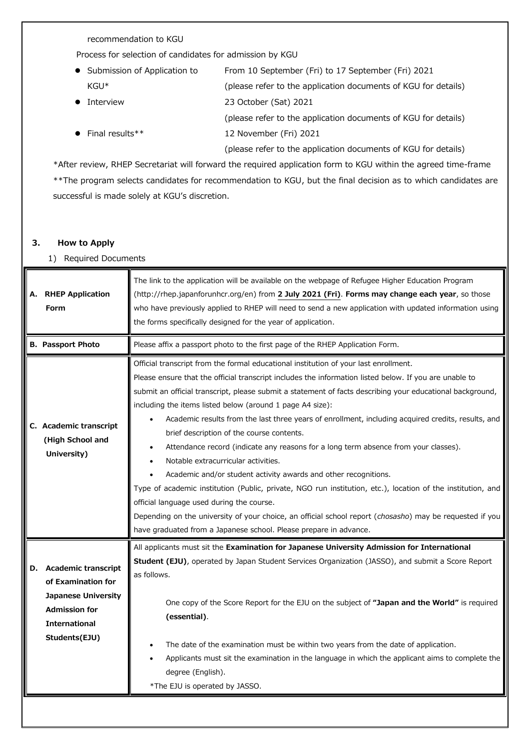recommendation to KGU

Process for selection of candidates for admission by KGU

| • Submission of Application to | From 10 September (Fri) to 17 September (Fri) 2021             |
|--------------------------------|----------------------------------------------------------------|
| $KGU^*$                        | (please refer to the application documents of KGU for details) |
| Interview                      | 23 October (Sat) 2021                                          |
|                                | (please refer to the application documents of KGU for details) |
| $\bullet$ Final results**      | 12 November (Fri) 2021                                         |
|                                | (please refer to the application documents of KGU for details) |

\*After review, RHEP Secretariat will forward the required application form to KGU within the agreed time-frame \*\*The program selects candidates for recommendation to KGU, but the final decision as to which candidates are successful is made solely at KGU's discretion.

### **3. How to Apply**

## 1) Required Documents

|    | A. RHEP Application<br><b>Form</b>                                                                                                              | The link to the application will be available on the webpage of Refugee Higher Education Program<br>(http://rhep.japanforunhcr.org/en) from 2 July 2021 (Fri). Forms may change each year, so those<br>who have previously applied to RHEP will need to send a new application with updated information using<br>the forms specifically designed for the year of application.                                                                                                                                                                                                                                                                                                                                                                                                                                                                                                                                                                                                                                                                                             |
|----|-------------------------------------------------------------------------------------------------------------------------------------------------|---------------------------------------------------------------------------------------------------------------------------------------------------------------------------------------------------------------------------------------------------------------------------------------------------------------------------------------------------------------------------------------------------------------------------------------------------------------------------------------------------------------------------------------------------------------------------------------------------------------------------------------------------------------------------------------------------------------------------------------------------------------------------------------------------------------------------------------------------------------------------------------------------------------------------------------------------------------------------------------------------------------------------------------------------------------------------|
|    | <b>B. Passport Photo</b>                                                                                                                        | Please affix a passport photo to the first page of the RHEP Application Form.                                                                                                                                                                                                                                                                                                                                                                                                                                                                                                                                                                                                                                                                                                                                                                                                                                                                                                                                                                                             |
|    | C. Academic transcript<br>(High School and<br>University)                                                                                       | Official transcript from the formal educational institution of your last enrollment.<br>Please ensure that the official transcript includes the information listed below. If you are unable to<br>submit an official transcript, please submit a statement of facts describing your educational background,<br>including the items listed below (around 1 page A4 size):<br>Academic results from the last three years of enrollment, including acquired credits, results, and<br>brief description of the course contents.<br>Attendance record (indicate any reasons for a long term absence from your classes).<br>Notable extracurricular activities.<br>Academic and/or student activity awards and other recognitions.<br>Type of academic institution (Public, private, NGO run institution, etc.), location of the institution, and<br>official language used during the course.<br>Depending on the university of your choice, an official school report (chosasho) may be requested if you<br>have graduated from a Japanese school. Please prepare in advance. |
| D. | <b>Academic transcript</b><br>of Examination for<br><b>Japanese University</b><br><b>Admission for</b><br><b>International</b><br>Students(EJU) | All applicants must sit the Examination for Japanese University Admission for International<br>Student (EJU), operated by Japan Student Services Organization (JASSO), and submit a Score Report<br>as follows.<br>One copy of the Score Report for the EJU on the subject of "Japan and the World" is required<br>(essential).<br>The date of the examination must be within two years from the date of application.<br>Applicants must sit the examination in the language in which the applicant aims to complete the<br>degree (English).<br>*The EJU is operated by JASSO.                                                                                                                                                                                                                                                                                                                                                                                                                                                                                           |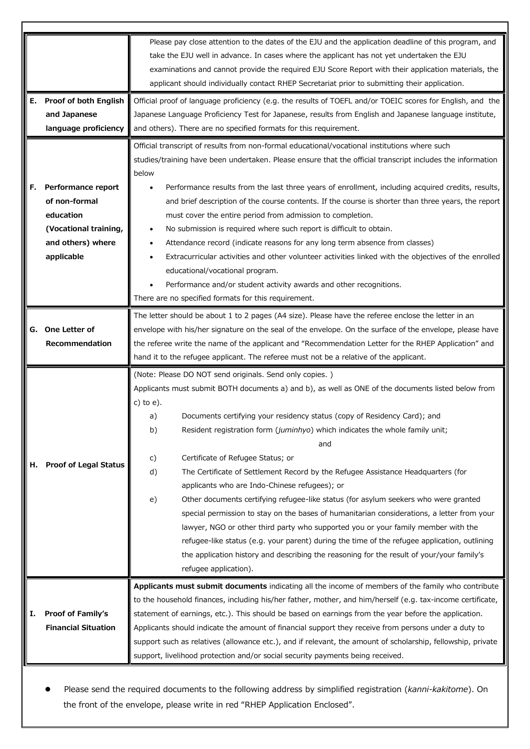|    |                                                                                                                                                                                                                                                                 | Please pay close attention to the dates of the EJU and the application deadline of this program, and<br>take the EJU well in advance. In cases where the applicant has not yet undertaken the EJU<br>examinations and cannot provide the required EJU Score Report with their application materials, the<br>applicant should individually contact RHEP Secretariat prior to submitting their application. |  |
|----|-----------------------------------------------------------------------------------------------------------------------------------------------------------------------------------------------------------------------------------------------------------------|-----------------------------------------------------------------------------------------------------------------------------------------------------------------------------------------------------------------------------------------------------------------------------------------------------------------------------------------------------------------------------------------------------------|--|
|    | E. Proof of both English                                                                                                                                                                                                                                        |                                                                                                                                                                                                                                                                                                                                                                                                           |  |
|    | and Japanese                                                                                                                                                                                                                                                    | Official proof of language proficiency (e.g. the results of TOEFL and/or TOEIC scores for English, and the<br>Japanese Language Proficiency Test for Japanese, results from English and Japanese language institute,                                                                                                                                                                                      |  |
|    | language proficiency                                                                                                                                                                                                                                            | and others). There are no specified formats for this requirement.                                                                                                                                                                                                                                                                                                                                         |  |
|    |                                                                                                                                                                                                                                                                 |                                                                                                                                                                                                                                                                                                                                                                                                           |  |
|    |                                                                                                                                                                                                                                                                 | Official transcript of results from non-formal educational/vocational institutions where such<br>studies/training have been undertaken. Please ensure that the official transcript includes the information<br>below                                                                                                                                                                                      |  |
| F. | Performance report                                                                                                                                                                                                                                              | Performance results from the last three years of enrollment, including acquired credits, results,                                                                                                                                                                                                                                                                                                         |  |
|    | of non-formal                                                                                                                                                                                                                                                   | and brief description of the course contents. If the course is shorter than three years, the report                                                                                                                                                                                                                                                                                                       |  |
|    | education                                                                                                                                                                                                                                                       | must cover the entire period from admission to completion.                                                                                                                                                                                                                                                                                                                                                |  |
|    | (Vocational training,                                                                                                                                                                                                                                           | No submission is required where such report is difficult to obtain.                                                                                                                                                                                                                                                                                                                                       |  |
|    | and others) where                                                                                                                                                                                                                                               | Attendance record (indicate reasons for any long term absence from classes)                                                                                                                                                                                                                                                                                                                               |  |
|    | applicable                                                                                                                                                                                                                                                      | Extracurricular activities and other volunteer activities linked with the objectives of the enrolled<br>educational/vocational program.                                                                                                                                                                                                                                                                   |  |
|    |                                                                                                                                                                                                                                                                 | Performance and/or student activity awards and other recognitions.                                                                                                                                                                                                                                                                                                                                        |  |
|    |                                                                                                                                                                                                                                                                 | There are no specified formats for this requirement.                                                                                                                                                                                                                                                                                                                                                      |  |
|    |                                                                                                                                                                                                                                                                 | The letter should be about 1 to 2 pages (A4 size). Please have the referee enclose the letter in an                                                                                                                                                                                                                                                                                                       |  |
|    | G. One Letter of                                                                                                                                                                                                                                                | envelope with his/her signature on the seal of the envelope. On the surface of the envelope, please have                                                                                                                                                                                                                                                                                                  |  |
|    | Recommendation                                                                                                                                                                                                                                                  | the referee write the name of the applicant and "Recommendation Letter for the RHEP Application" and                                                                                                                                                                                                                                                                                                      |  |
|    |                                                                                                                                                                                                                                                                 | hand it to the refugee applicant. The referee must not be a relative of the applicant.                                                                                                                                                                                                                                                                                                                    |  |
|    |                                                                                                                                                                                                                                                                 |                                                                                                                                                                                                                                                                                                                                                                                                           |  |
|    |                                                                                                                                                                                                                                                                 | (Note: Please DO NOT send originals. Send only copies.)                                                                                                                                                                                                                                                                                                                                                   |  |
|    |                                                                                                                                                                                                                                                                 | Applicants must submit BOTH documents a) and b), as well as ONE of the documents listed below from<br>c) to $e$ ).                                                                                                                                                                                                                                                                                        |  |
|    |                                                                                                                                                                                                                                                                 | Documents certifying your residency status (copy of Residency Card); and<br>a)                                                                                                                                                                                                                                                                                                                            |  |
|    |                                                                                                                                                                                                                                                                 | Resident registration form (juminhyo) which indicates the whole family unit;<br>b)                                                                                                                                                                                                                                                                                                                        |  |
|    |                                                                                                                                                                                                                                                                 | and                                                                                                                                                                                                                                                                                                                                                                                                       |  |
| н. | <b>Proof of Legal Status</b>                                                                                                                                                                                                                                    | Certificate of Refugee Status; or<br>c)                                                                                                                                                                                                                                                                                                                                                                   |  |
|    |                                                                                                                                                                                                                                                                 | The Certificate of Settlement Record by the Refugee Assistance Headquarters (for<br>d)                                                                                                                                                                                                                                                                                                                    |  |
|    |                                                                                                                                                                                                                                                                 | applicants who are Indo-Chinese refugees); or                                                                                                                                                                                                                                                                                                                                                             |  |
|    |                                                                                                                                                                                                                                                                 | Other documents certifying refugee-like status (for asylum seekers who were granted<br>e)                                                                                                                                                                                                                                                                                                                 |  |
|    |                                                                                                                                                                                                                                                                 | special permission to stay on the bases of humanitarian considerations, a letter from your                                                                                                                                                                                                                                                                                                                |  |
|    |                                                                                                                                                                                                                                                                 | lawyer, NGO or other third party who supported you or your family member with the                                                                                                                                                                                                                                                                                                                         |  |
|    |                                                                                                                                                                                                                                                                 | refugee-like status (e.g. your parent) during the time of the refugee application, outlining                                                                                                                                                                                                                                                                                                              |  |
|    |                                                                                                                                                                                                                                                                 | the application history and describing the reasoning for the result of your/your family's                                                                                                                                                                                                                                                                                                                 |  |
|    |                                                                                                                                                                                                                                                                 | refugee application).                                                                                                                                                                                                                                                                                                                                                                                     |  |
|    |                                                                                                                                                                                                                                                                 | Applicants must submit documents indicating all the income of members of the family who contribute                                                                                                                                                                                                                                                                                                        |  |
|    |                                                                                                                                                                                                                                                                 | to the household finances, including his/her father, mother, and him/herself (e.g. tax-income certificate,                                                                                                                                                                                                                                                                                                |  |
| Ι. | Proof of Family's<br>statement of earnings, etc.). This should be based on earnings from the year before the application.<br><b>Financial Situation</b><br>Applicants should indicate the amount of financial support they receive from persons under a duty to |                                                                                                                                                                                                                                                                                                                                                                                                           |  |
|    |                                                                                                                                                                                                                                                                 |                                                                                                                                                                                                                                                                                                                                                                                                           |  |
|    |                                                                                                                                                                                                                                                                 |                                                                                                                                                                                                                                                                                                                                                                                                           |  |
|    |                                                                                                                                                                                                                                                                 | support such as relatives (allowance etc.), and if relevant, the amount of scholarship, fellowship, private                                                                                                                                                                                                                                                                                               |  |
|    |                                                                                                                                                                                                                                                                 | support, livelihood protection and/or social security payments being received.                                                                                                                                                                                                                                                                                                                            |  |

 Please send the required documents to the following address by simplified registration (*kanni-kakitome*). On the front of the envelope, please write in red "RHEP Application Enclosed".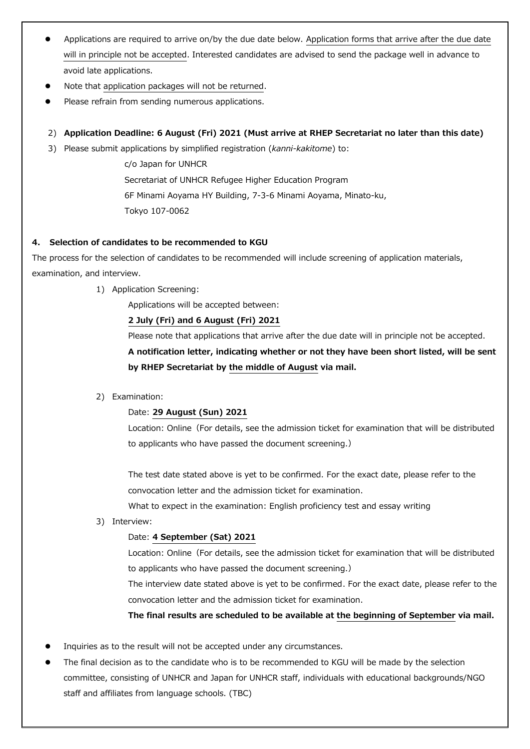- Applications are required to arrive on/by the due date below. Application forms that arrive after the due date will in principle not be accepted. Interested candidates are advised to send the package well in advance to avoid late applications.
- Note that application packages will not be returned.
- Please refrain from sending numerous applications.
- 2) **Application Deadline: 6 August (Fri) 2021 (Must arrive at RHEP Secretariat no later than this date)**
- 3) Please submit applications by simplified registration (*kanni-kakitome*) to:

c/o Japan for UNHCR Secretariat of UNHCR Refugee Higher Education Program 6F Minami Aoyama HY Building, 7-3-6 Minami Aoyama, Minato-ku, Tokyo 107-0062

# **4. Selection of candidates to be recommended to KGU**

The process for the selection of candidates to be recommended will include screening of application materials, examination, and interview.

1) Application Screening:

Applications will be accepted between:

# **2 July (Fri) and 6 August (Fri) 2021**

Please note that applications that arrive after the due date will in principle not be accepted.

**A notification letter, indicating whether or not they have been short listed, will be sent by RHEP Secretariat by the middle of August via mail.**

2) Examination:

### Date: **29 August (Sun) 2021**

Location: Online (For details, see the admission ticket for examination that will be distributed to applicants who have passed the document screening.)

The test date stated above is yet to be confirmed. For the exact date, please refer to the convocation letter and the admission ticket for examination.

What to expect in the examination: English proficiency test and essay writing

3) Interview:

### Date: **4 September (Sat) 2021**

Location: Online (For details, see the admission ticket for examination that will be distributed to applicants who have passed the document screening.)

The interview date stated above is yet to be confirmed. For the exact date, please refer to the convocation letter and the admission ticket for examination.

**The final results are scheduled to be available at the beginning of September via mail.**

- Inquiries as to the result will not be accepted under any circumstances.
- The final decision as to the candidate who is to be recommended to KGU will be made by the selection committee, consisting of UNHCR and Japan for UNHCR staff, individuals with educational backgrounds/NGO staff and affiliates from language schools. (TBC)